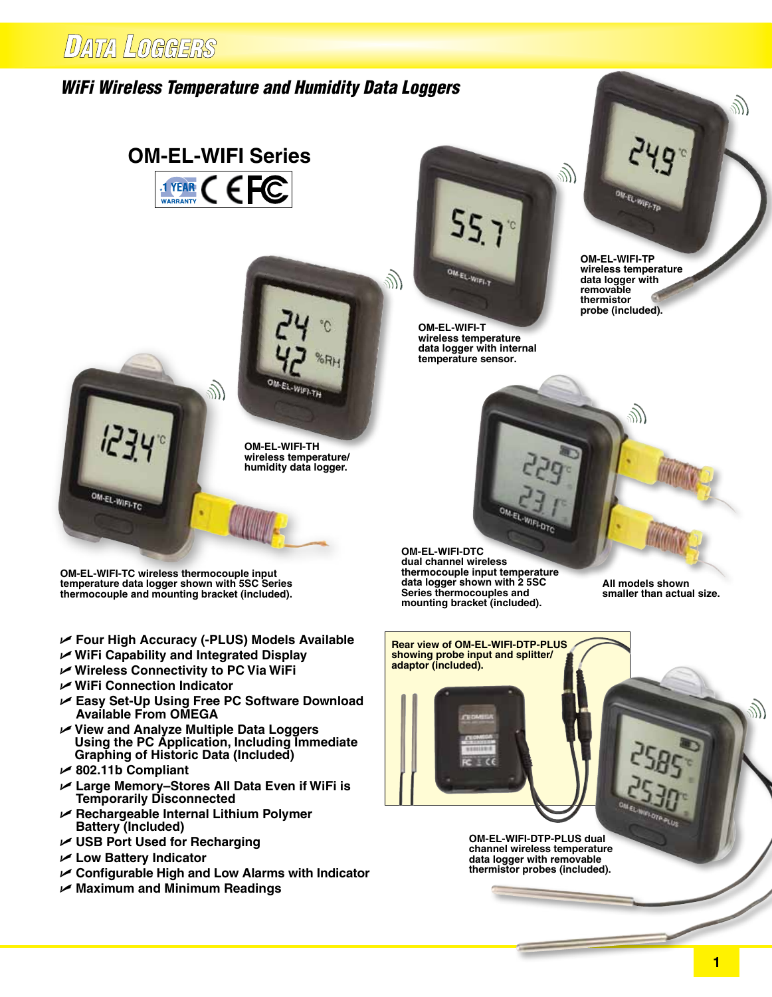# *WiFi Wireless Temperature and Humidity Data Loggers*

# **OM-EL-WIFI Series** 1 YEAR  $\epsilon$ WARRANTY

ツ



**humidity data logger.** 

**OM-EL-WIFI-TC wireless thermocouple input temperature data logger shown with 5SC Series thermocouple and mounting bracket (included).**

- U **Four High Accuracy (-PLUS) Models Available**
- U **WiFi Capability and Integrated Display**
- U **Wireless Connectivity to PC Via WiFi**
- U **WiFi Connection Indicator**
- U **Easy Set-Up Using Free PC Software Download Available From OMEGA**
- U **View and Analyze Multiple Data Loggers Using the PC Application, Including Immediate Graphing of Historic Data (Included)**
- U **802.11b Compliant**

OM-EL-WIFI-TC

- U **Large Memory–Stores All Data Even if WiFi is Temporarily Disconnected**
- U **Rechargeable Internal Lithium Polymer Battery (Included)**
- U **USB Port Used for Recharging**
- U **Low Battery Indicator**
- U **Configurable High and Low Alarms with Indicator**
- U **Maximum and Minimum Readings**



**OM-EL-WIFI-T wireless temperature data logger with internal temperature sensor.**

e<br>W



**OM-EL-WIFI-TP wireless temperature data logger with removable thermistor probe (included).**

**OM-EL-WIFI-DTC dual channel wireless thermocouple input temperature data logger shown with 2 5SC Series thermocouples and mounting bracket (included).**

**All models shown smaller than actual size.**

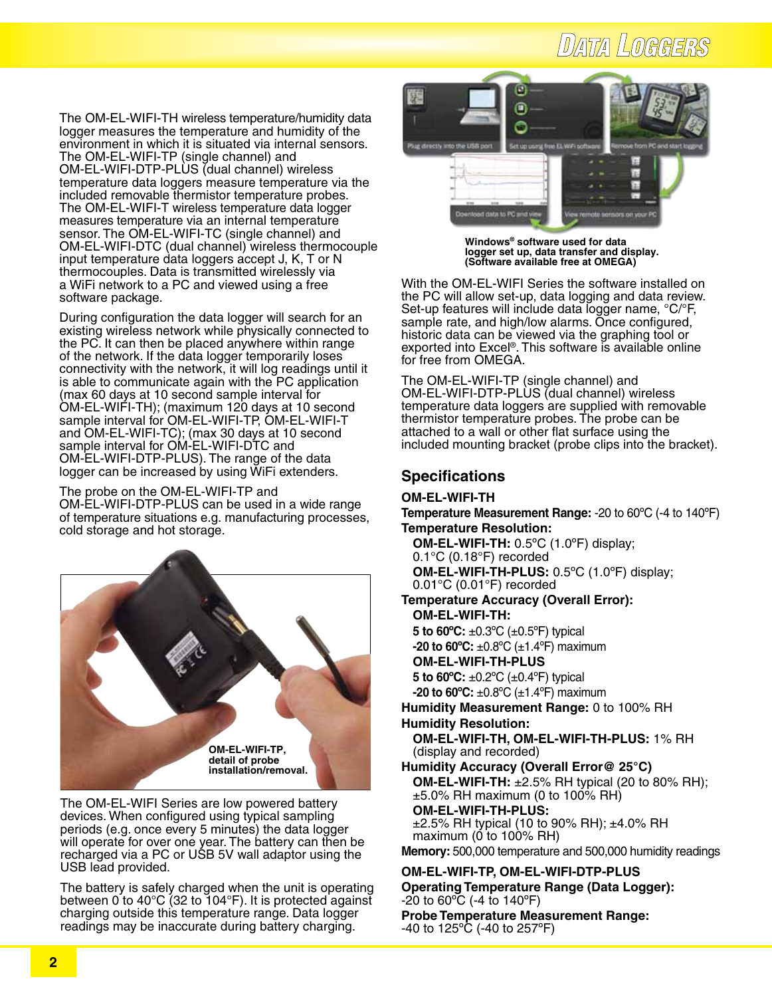# **DATA LOGGERS**

The OM-EL-WIFI-TH wireless temperature/humidity data logger measures the temperature and humidity of the environment in which it is situated via internal sensors. The OM-EL-WIFI-TP (single channel) and OM-EL-WIFI-DTP-PLUS (dual channel) wireless temperature data loggers measure temperature via the included removable thermistor temperature probes. The OM-EL-WIFI-T wireless temperature data logger measures temperature via an internal temperature sensor. The OM-EL-WIFI-TC (single channel) and OM-EL-WIFI-DTC (dual channel) wireless thermocouple input temperature data loggers accept J, K, T or N thermocouples. Data is transmitted wirelessly via a WiFi network to a PC and viewed using a free software package.

During configuration the data logger will search for an existing wireless network while physically connected to the PC. It can then be placed anywhere within range of the network. If the data logger temporarily loses connectivity with the network, it will log readings until it is able to communicate again with the PC application (max 60 days at 10 second sample interval for OM-EL-WIFI-TH); (maximum 120 days at 10 second sample interval for OM-EL-WIFI-TP, OM-EL-WIFI-T and OM-EL-WIFI-TC); (max 30 days at 10 second sample interval for OM-EL-WIFI-DTC and OM-EL-WIFI-DTP-PLUS). The range of the data logger can be increased by using WiFi extenders.

The probe on the OM-EL-WIFI-TP and OM-EL-WIFI-DTP-PLUS can be used in a wide range of temperature situations e.g. manufacturing processes, cold storage and hot storage.



The OM-EL-WIFI Series are low powered battery devices. When configured using typical sampling periods (e.g. once every 5 minutes) the data logger will operate for over one year. The battery can then be recharged via a PC or USB 5V wall adaptor using the USB lead provided.

The battery is safely charged when the unit is operating between 0 to 40°C (32 to 104°F). It is protected against charging outside this temperature range. Data logger readings may be inaccurate during battery charging.



**Windows® software used for data logger set up, data transfer and display. (Software available free at OMEGA)**

With the OM-EL-WIFI Series the software installed on the PC will allow set-up, data logging and data review. Set-up features will include data logger name, °C/°F, sample rate, and high/low alarms. Once configured, historic data can be viewed via the graphing tool or exported into Excel®. This software is available online for free from OMEGA.

The OM-EL-WIFI-TP (single channel) and OM-EL-WIFI-DTP-PLUS (dual channel) wireless temperature data loggers are supplied with removable thermistor temperature probes. The probe can be attached to a wall or other flat surface using the included mounting bracket (probe clips into the bracket).

# **Specifications**

## **OM-EL-WIFI-TH**

**Temperature Measurement Range:** -20 to 60ºC (-4 to 140ºF) **Temperature Resolution:** 

 **OM-EL-WIFI-TH:** 0.5ºC (1.0ºF) display; 0.1°C (0.18°F) recorded  **OM-EL-WIFI-TH-PLUS:** 0.5ºC (1.0ºF) display; 0.01°C (0.01°F) recorded

**Temperature Accuracy (Overall Error): OM-EL-WIFI-TH: 5 to 60ºC:** ±0.3ºC (±0.5ºF) typical **-20 to 60ºC:** ±0.8ºC (±1.4ºF) maximum **OM-EL-WIFI-TH-PLUS 5 to 60ºC:** ±0.2ºC (±0.4ºF) typical **-20 to 60ºC:** ±0.8ºC (±1.4ºF) maximum **Humidity Measurement Range:** 0 to 100% RH

**Humidity Resolution: OM-EL-WIFI-TH, OM-EL-WIFI-TH-PLUS:** 1% RH (display and recorded)

**Humidity Accuracy (Overall Error@ 25°C) OM-EL-WIFI-TH:** ±2.5% RH typical (20 to 80% RH);  $\pm$ 5.0% RH maximum (0 to 100% RH)  **OM-EL-WIFI-TH-PLUS:** ±2.5% RH typical (10 to 90% RH); ±4.0% RH maximum ( $\ddot{\text{o}}$  to 100% RH)

**Memory:** 500,000 temperature and 500,000 humidity readings

## **OM-EL-WIFI-TP, OM-EL-WIFI-DTP-PLUS Operating Temperature Range (Data Logger):** -20 to 60ºC (-4 to 140ºF) **Probe Temperature Measurement Range:**

-40 to 125ºC (-40 to 257ºF)